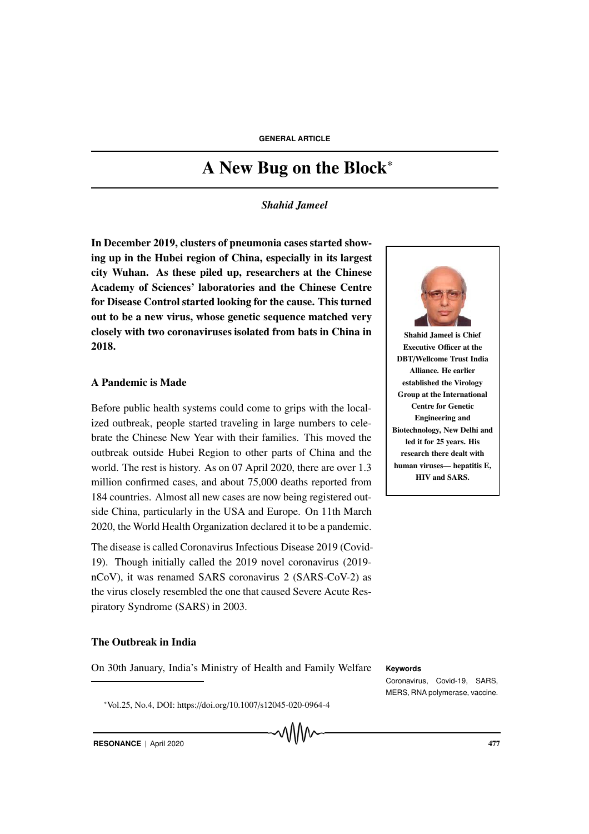# A New Bug on the Block<sup>∗</sup>

*Shahid Jameel*

In December 2019, clusters of pneumonia cases started showing up in the Hubei region of China, especially in its largest city Wuhan. As these piled up, researchers at the Chinese Academy of Sciences' laboratories and the Chinese Centre for Disease Control started looking for the cause. This turned out to be a new virus, whose genetic sequence matched very closely with two coronaviruses isolated from bats in China in 2018.

# A Pandemic is Made

Before public health systems could come to grips with the localized outbreak, people started traveling in large numbers to celebrate the Chinese New Year with their families. This moved the outbreak outside Hubei Region to other parts of China and the world. The rest is history. As on 07 April 2020, there are over 1.3 million confirmed cases, and about 75,000 deaths reported from 184 countries. Almost all new cases are now being registered outside China, particularly in the USA and Europe. On 11th March 2020, the World Health Organization declared it to be a pandemic.

The disease is called Coronavirus Infectious Disease 2019 (Covid-19). Though initially called the 2019 novel coronavirus (2019 nCoV), it was renamed SARS coronavirus 2 (SARS-CoV-2) as the virus closely resembled the one that caused Severe Acute Respiratory Syndrome (SARS) in 2003.

# The Outbreak in India

On 30th January, India's Ministry of Health and Family Welfare **Keywords**

<sup>∗</sup>Vol.25, No.4, DOI: https://doi.org/10.1007/s12045-020-0964-4



Shahid Jameel is Chief Executive Officer at the DBT/Wellcome Trust India Alliance. He earlier established the Virology Group at the International Centre for Genetic Engineering and Biotechnology, New Delhi and led it for 25 years. His research there dealt with human viruses— hepatitis E, HIV and SARS.

Coronavirus, Covid-19, SARS, MERS, RNA polymerase, vaccine.

**RESONANCE** | April 2020 477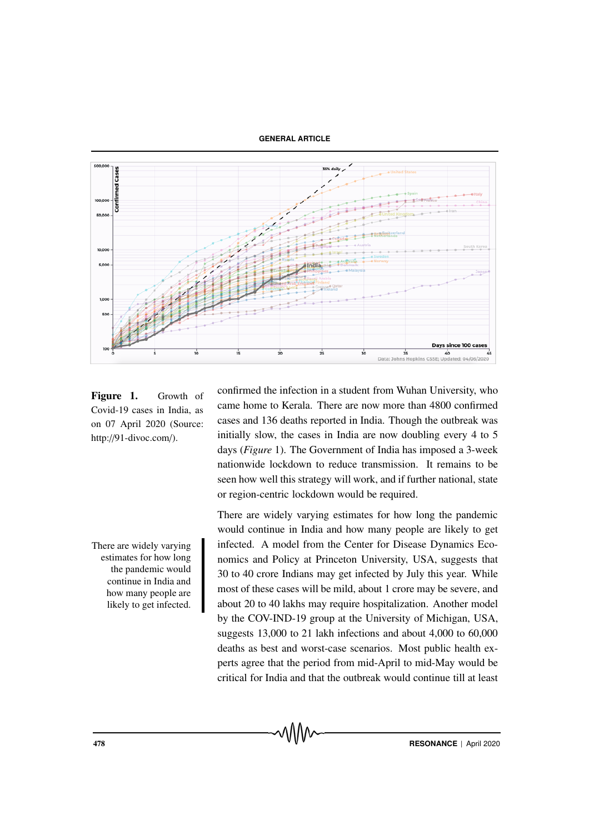#### **GENERAL ARTICLE**



Figure 1. Growth of Covid-19 cases in India, as on 07 April 2020 (Source: http://91-divoc.com/).

There are widely varying estimates for how long the pandemic would continue in India and how many people are likely to get infected. confirmed the infection in a student from Wuhan University, who came home to Kerala. There are now more than 4800 confirmed cases and 136 deaths reported in India. Though the outbreak was initially slow, the cases in India are now doubling every 4 to 5 days (*Figure* 1). The Government of India has imposed a 3-week nationwide lockdown to reduce transmission. It remains to be seen how well this strategy will work, and if further national, state or region-centric lockdown would be required.

There are widely varying estimates for how long the pandemic would continue in India and how many people are likely to get infected. A model from the Center for Disease Dynamics Economics and Policy at Princeton University, USA, suggests that 30 to 40 crore Indians may get infected by July this year. While most of these cases will be mild, about 1 crore may be severe, and about 20 to 40 lakhs may require hospitalization. Another model by the COV-IND-19 group at the University of Michigan, USA, suggests 13,000 to 21 lakh infections and about 4,000 to 60,000 deaths as best and worst-case scenarios. Most public health experts agree that the period from mid-April to mid-May would be critical for India and that the outbreak would continue till at least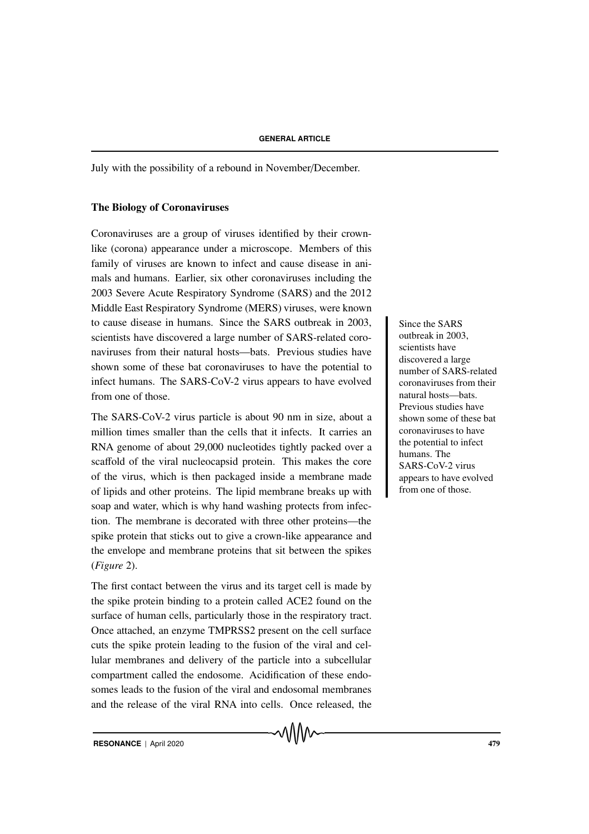July with the possibility of a rebound in November/December.

#### The Biology of Coronaviruses

Coronaviruses are a group of viruses identified by their crownlike (corona) appearance under a microscope. Members of this family of viruses are known to infect and cause disease in animals and humans. Earlier, six other coronaviruses including the 2003 Severe Acute Respiratory Syndrome (SARS) and the 2012 Middle East Respiratory Syndrome (MERS) viruses, were known to cause disease in humans. Since the SARS outbreak in 2003, Since the SARS scientists have discovered a large number of SARS-related coronaviruses from their natural hosts—bats. Previous studies have shown some of these bat coronaviruses to have the potential to infect humans. The SARS-CoV-2 virus appears to have evolved from one of those.

The SARS-CoV-2 virus particle is about 90 nm in size, about a million times smaller than the cells that it infects. It carries an RNA genome of about 29,000 nucleotides tightly packed over a scaffold of the viral nucleocapsid protein. This makes the core of the virus, which is then packaged inside a membrane made of lipids and other proteins. The lipid membrane breaks up with soap and water, which is why hand washing protects from infection. The membrane is decorated with three other proteins—the spike protein that sticks out to give a crown-like appearance and the envelope and membrane proteins that sit between the spikes (*Figure* 2).

The first contact between the virus and its target cell is made by the spike protein binding to a protein called ACE2 found on the surface of human cells, particularly those in the respiratory tract. Once attached, an enzyme TMPRSS2 present on the cell surface cuts the spike protein leading to the fusion of the viral and cellular membranes and delivery of the particle into a subcellular compartment called the endosome. Acidification of these endosomes leads to the fusion of the viral and endosomal membranes and the release of the viral RNA into cells. Once released, the outbreak in 2003, scientists have discovered a large number of SARS-related coronaviruses from their natural hosts—bats. Previous studies have shown some of these bat coronaviruses to have the potential to infect humans. The SARS-CoV-2 virus appears to have evolved from one of those.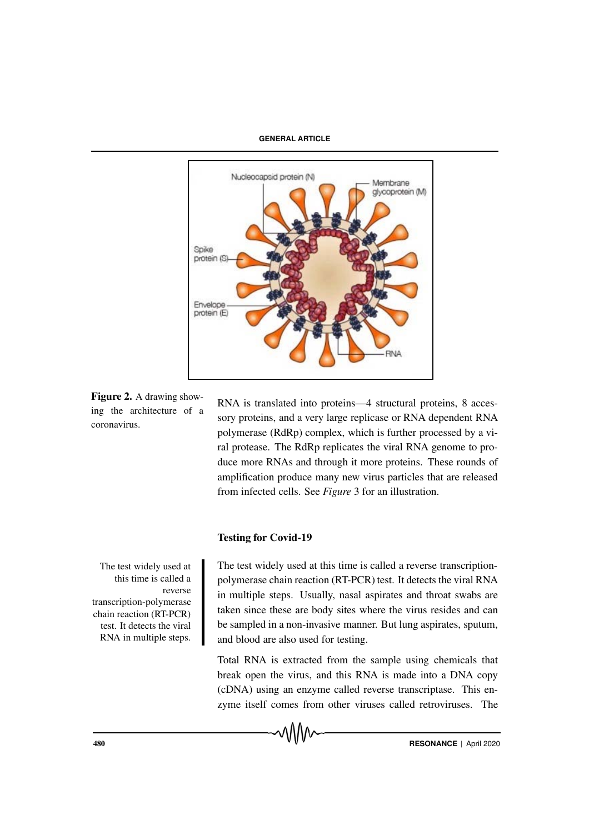#### **GENERAL ARTICLE**



Figure 2. A drawing showing the architecture of a coronavirus.

RNA is translated into proteins—4 structural proteins, 8 accessory proteins, and a very large replicase or RNA dependent RNA polymerase (RdRp) complex, which is further processed by a viral protease. The RdRp replicates the viral RNA genome to produce more RNAs and through it more proteins. These rounds of amplification produce many new virus particles that are released from infected cells. See *Figure* 3 for an illustration.

# Testing for Covid-19

The test widely used at this time is called a reverse transcription-polymerase chain reaction (RT-PCR) test. It detects the viral RNA in multiple steps. The test widely used at this time is called a reverse transcriptionpolymerase chain reaction (RT-PCR) test. It detects the viral RNA in multiple steps. Usually, nasal aspirates and throat swabs are taken since these are body sites where the virus resides and can be sampled in a non-invasive manner. But lung aspirates, sputum, and blood are also used for testing.

Total RNA is extracted from the sample using chemicals that break open the virus, and this RNA is made into a DNA copy (cDNA) using an enzyme called reverse transcriptase. This enzyme itself comes from other viruses called retroviruses. The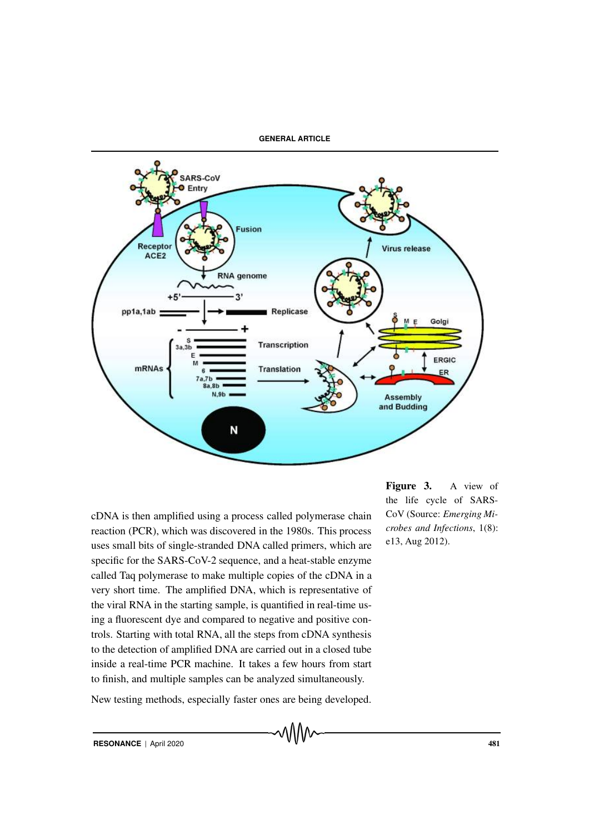

![](_page_4_Figure_1.jpeg)

cDNA is then amplified using a process called polymerase chain reaction (PCR), which was discovered in the 1980s. This process uses small bits of single-stranded DNA called primers, which are specific for the SARS-CoV-2 sequence, and a heat-stable enzyme called Taq polymerase to make multiple copies of the cDNA in a very short time. The amplified DNA, which is representative of the viral RNA in the starting sample, is quantified in real-time using a fluorescent dye and compared to negative and positive controls. Starting with total RNA, all the steps from cDNA synthesis to the detection of amplified DNA are carried out in a closed tube inside a real-time PCR machine. It takes a few hours from start to finish, and multiple samples can be analyzed simultaneously.

New testing methods, especially faster ones are being developed.

Figure 3. A view of the life cycle of SARS-CoV (Source: *Emerging Microbes and Infections*, 1(8): e13, Aug 2012).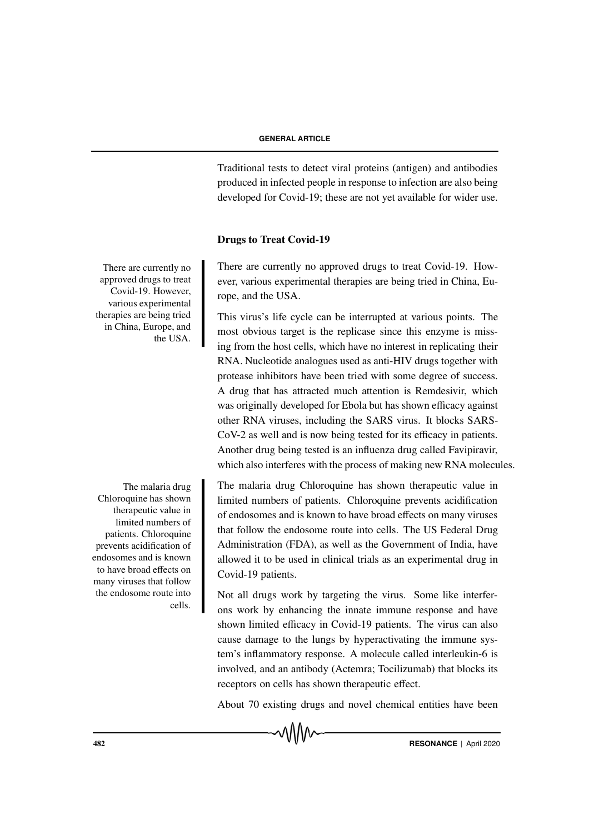Traditional tests to detect viral proteins (antigen) and antibodies produced in infected people in response to infection are also being developed for Covid-19; these are not yet available for wider use.

### Drugs to Treat Covid-19

There are currently no approved drugs to treat Covid-19. However, various experimental therapies are being tried in China, Europe, and the USA.

This virus's life cycle can be interrupted at various points. The most obvious target is the replicase since this enzyme is missing from the host cells, which have no interest in replicating their RNA. Nucleotide analogues used as anti-HIV drugs together with protease inhibitors have been tried with some degree of success. A drug that has attracted much attention is Remdesivir, which was originally developed for Ebola but has shown efficacy against other RNA viruses, including the SARS virus. It blocks SARS-CoV-2 as well and is now being tested for its efficacy in patients. Another drug being tested is an influenza drug called Favipiravir, which also interferes with the process of making new RNA molecules.

The malaria drug Chloroquine has shown therapeutic value in limited numbers of patients. Chloroquine prevents acidification of endosomes and is known to have broad effects on many viruses that follow the endosome route into cells. The US Federal Drug Administration (FDA), as well as the Government of India, have allowed it to be used in clinical trials as an experimental drug in Covid-19 patients.

Not all drugs work by targeting the virus. Some like interferons work by enhancing the innate immune response and have shown limited efficacy in Covid-19 patients. The virus can also cause damage to the lungs by hyperactivating the immune system's inflammatory response. A molecule called interleukin-6 is involved, and an antibody (Actemra; Tocilizumab) that blocks its receptors on cells has shown therapeutic effect.

About 70 existing drugs and novel chemical entities have been

**AS2 RESONANCE** | April 2020

There are currently no approved drugs to treat Covid-19. However, various experimental therapies are being tried in China, Europe, and the USA.

The malaria drug Chloroquine has shown therapeutic value in limited numbers of patients. Chloroquine prevents acidification of endosomes and is known to have broad effects on many viruses that follow the endosome route into cells.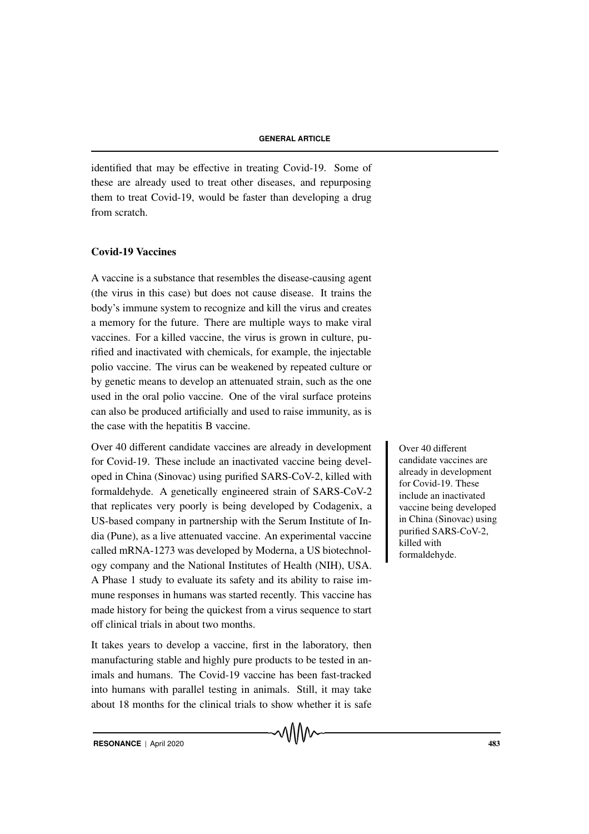identified that may be effective in treating Covid-19. Some of these are already used to treat other diseases, and repurposing them to treat Covid-19, would be faster than developing a drug from scratch.

### Covid-19 Vaccines

A vaccine is a substance that resembles the disease-causing agent (the virus in this case) but does not cause disease. It trains the body's immune system to recognize and kill the virus and creates a memory for the future. There are multiple ways to make viral vaccines. For a killed vaccine, the virus is grown in culture, purified and inactivated with chemicals, for example, the injectable polio vaccine. The virus can be weakened by repeated culture or by genetic means to develop an attenuated strain, such as the one used in the oral polio vaccine. One of the viral surface proteins can also be produced artificially and used to raise immunity, as is the case with the hepatitis B vaccine.

Over 40 different candidate vaccines are already in development Over 40 different for Covid-19. These include an inactivated vaccine being developed in China (Sinovac) using purified SARS-CoV-2, killed with formaldehyde. A genetically engineered strain of SARS-CoV-2 that replicates very poorly is being developed by Codagenix, a US-based company in partnership with the Serum Institute of India (Pune), as a live attenuated vaccine. An experimental vaccine called mRNA-1273 was developed by Moderna, a US biotechnology company and the National Institutes of Health (NIH), USA. A Phase 1 study to evaluate its safety and its ability to raise immune responses in humans was started recently. This vaccine has made history for being the quickest from a virus sequence to start off clinical trials in about two months.

It takes years to develop a vaccine, first in the laboratory, then manufacturing stable and highly pure products to be tested in animals and humans. The Covid-19 vaccine has been fast-tracked into humans with parallel testing in animals. Still, it may take about 18 months for the clinical trials to show whether it is safe candidate vaccines are already in development for Covid-19. These include an inactivated vaccine being developed in China (Sinovac) using purified SARS-CoV-2, killed with formaldehyde.